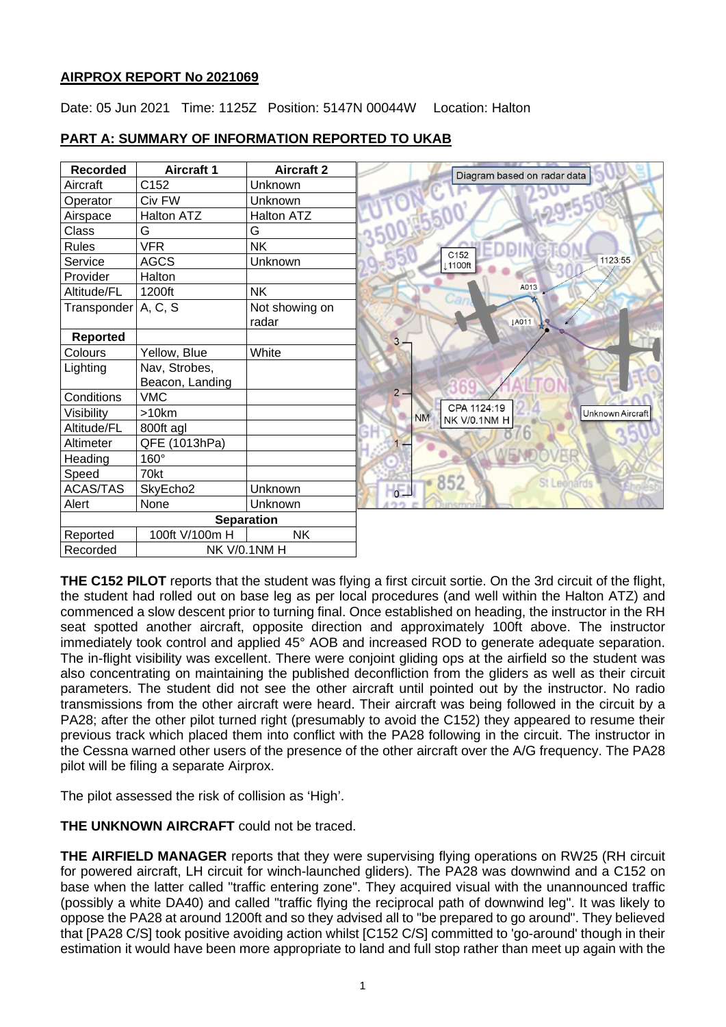# **AIRPROX REPORT No 2021069**

Date: 05 Jun 2021 Time: 1125Z Position: 5147N 00044W Location: Halton

# **PART A: SUMMARY OF INFORMATION REPORTED TO UKAB**

| <b>Recorded</b>          | <b>Aircraft 1</b> | <b>Aircraft 2</b> | Diagram based on radar data                                  |
|--------------------------|-------------------|-------------------|--------------------------------------------------------------|
| Aircraft                 | C152              | Unknown           |                                                              |
| Operator                 | Civ FW            | Unknown           |                                                              |
| Airspace                 | Halton ATZ        | <b>Halton ATZ</b> |                                                              |
| Class                    | G                 | G                 |                                                              |
| <b>Rules</b>             | <b>VFR</b>        | <b>NK</b>         | C <sub>152</sub>                                             |
| Service                  | <b>AGCS</b>       | Unknown           | 1123:55<br>↓1100ft                                           |
| Provider                 | Halton            |                   |                                                              |
| Altitude/FL              | 1200ft            | <b>NK</b>         | A013                                                         |
| Transponder   A, C, S    |                   | Not showing on    |                                                              |
|                          |                   | radar             | <b>JA011</b>                                                 |
| <b>Reported</b>          |                   |                   | 3                                                            |
| Colours                  | Yellow, Blue      | White             |                                                              |
| Lighting                 | Nav, Strobes,     |                   |                                                              |
|                          | Beacon, Landing   |                   |                                                              |
| Conditions               | <b>VMC</b>        |                   | $2 -$                                                        |
| Visibility               | >10km             |                   | CPA 1124:19<br>Unknown Aircraft<br><b>NM</b><br>NK V/0.1NM H |
| Altitude/FL              | 800ft agl         |                   |                                                              |
| Altimeter                | QFE (1013hPa)     |                   | $1 -$                                                        |
| Heading                  | 160°              |                   |                                                              |
| Speed                    | 70kt              |                   | 852                                                          |
| <b>ACAS/TAS</b>          | SkyEcho2          | Unknown           | <b>St Leonards</b><br>$-6$                                   |
| Alert                    | None              | Unknown           |                                                              |
| <b>Separation</b>        |                   |                   |                                                              |
| Reported                 | 100ft V/100m H    | <b>NK</b>         |                                                              |
| NK V/0.1NM H<br>Recorded |                   |                   |                                                              |

**THE C152 PILOT** reports that the student was flying a first circuit sortie. On the 3rd circuit of the flight, the student had rolled out on base leg as per local procedures (and well within the Halton ATZ) and commenced a slow descent prior to turning final. Once established on heading, the instructor in the RH seat spotted another aircraft, opposite direction and approximately 100ft above. The instructor immediately took control and applied 45° AOB and increased ROD to generate adequate separation. The in-flight visibility was excellent. There were conjoint gliding ops at the airfield so the student was also concentrating on maintaining the published deconfliction from the gliders as well as their circuit parameters. The student did not see the other aircraft until pointed out by the instructor. No radio transmissions from the other aircraft were heard. Their aircraft was being followed in the circuit by a PA28; after the other pilot turned right (presumably to avoid the C152) they appeared to resume their previous track which placed them into conflict with the PA28 following in the circuit. The instructor in the Cessna warned other users of the presence of the other aircraft over the A/G frequency. The PA28 pilot will be filing a separate Airprox.

The pilot assessed the risk of collision as 'High'.

**THE UNKNOWN AIRCRAFT** could not be traced.

**THE AIRFIELD MANAGER** reports that they were supervising flying operations on RW25 (RH circuit for powered aircraft, LH circuit for winch-launched gliders). The PA28 was downwind and a C152 on base when the latter called "traffic entering zone". They acquired visual with the unannounced traffic (possibly a white DA40) and called "traffic flying the reciprocal path of downwind leg". It was likely to oppose the PA28 at around 1200ft and so they advised all to "be prepared to go around". They believed that [PA28 C/S] took positive avoiding action whilst [C152 C/S] committed to 'go-around' though in their estimation it would have been more appropriate to land and full stop rather than meet up again with the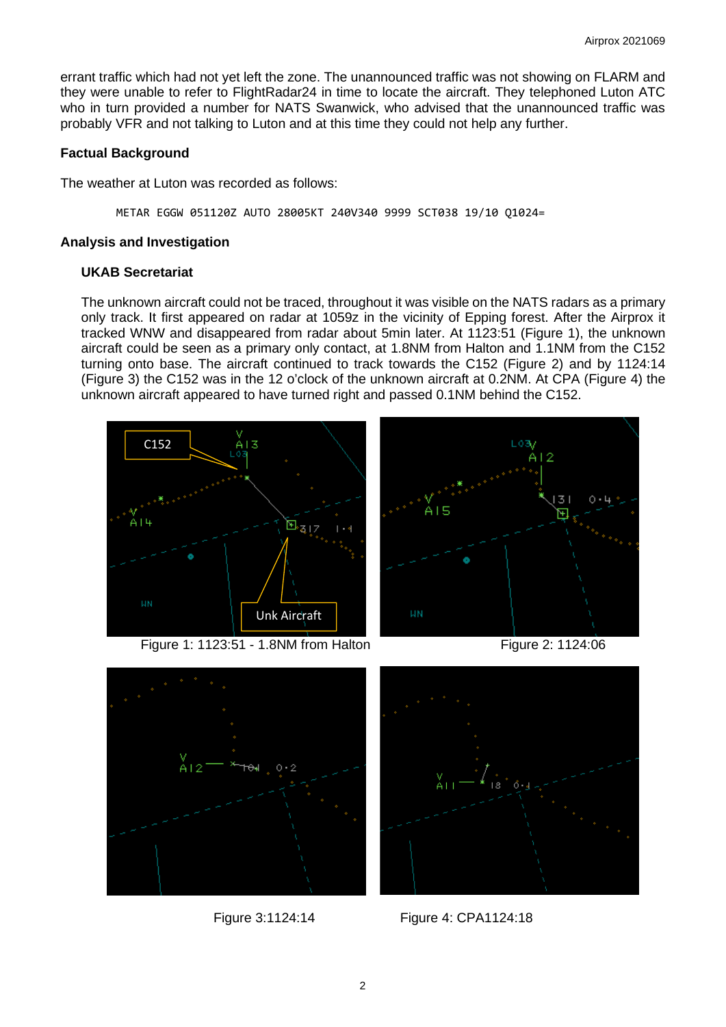errant traffic which had not yet left the zone. The unannounced traffic was not showing on FLARM and they were unable to refer to FlightRadar24 in time to locate the aircraft. They telephoned Luton ATC who in turn provided a number for NATS Swanwick, who advised that the unannounced traffic was probably VFR and not talking to Luton and at this time they could not help any further.

## **Factual Background**

The weather at Luton was recorded as follows:

METAR EGGW 051120Z AUTO 28005KT 240V340 9999 SCT038 19/10 Q1024=

#### **Analysis and Investigation**

#### **UKAB Secretariat**

The unknown aircraft could not be traced, throughout it was visible on the NATS radars as a primary only track. It first appeared on radar at 1059z in the vicinity of Epping forest. After the Airprox it tracked WNW and disappeared from radar about 5min later. At 1123:51 (Figure 1), the unknown aircraft could be seen as a primary only contact, at 1.8NM from Halton and 1.1NM from the C152 turning onto base. The aircraft continued to track towards the C152 (Figure 2) and by 1124:14 (Figure 3) the C152 was in the 12 o'clock of the unknown aircraft at 0.2NM. At CPA (Figure 4) the unknown aircraft appeared to have turned right and passed 0.1NM behind the C152.



Figure 1: 1123:51 - 1.8NM from Halton Figure 2: 1124:06





Figure 3:1124:14 Figure 4: CPA1124:18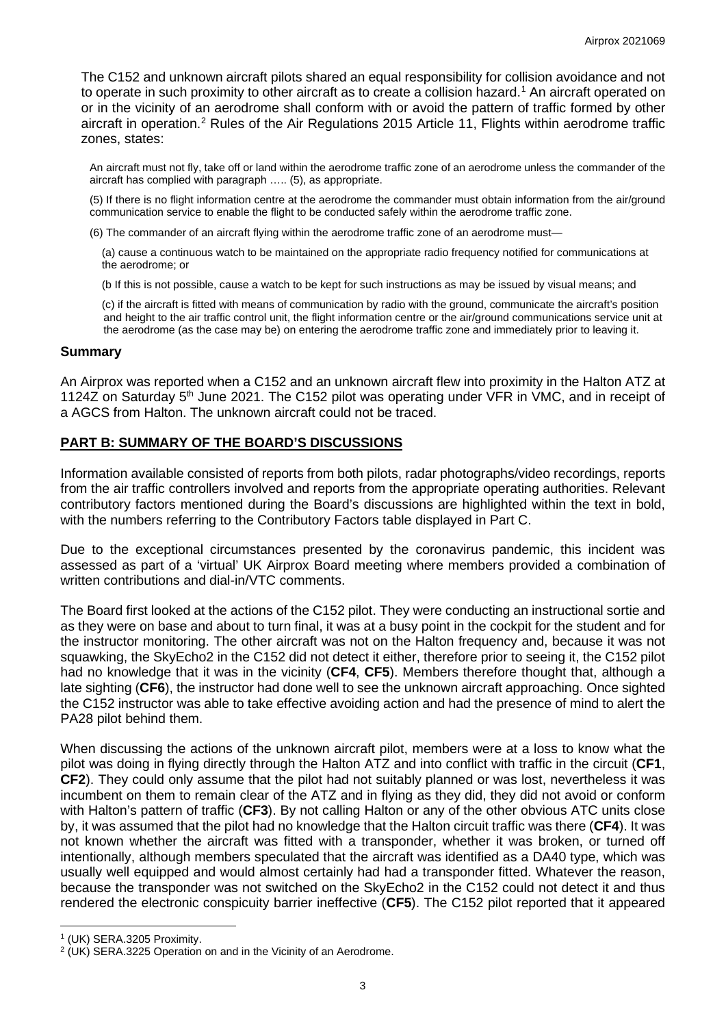The C152 and unknown aircraft pilots shared an equal responsibility for collision avoidance and not to operate in such proximity to other aircraft as to create a collision hazard. [1](#page-2-0) An aircraft operated on or in the vicinity of an aerodrome shall conform with or avoid the pattern of traffic formed by other aircraft in operation.<sup>[2](#page-2-1)</sup> Rules of the Air Regulations 2015 Article 11, Flights within aerodrome traffic zones, states:

An aircraft must not fly, take off or land within the aerodrome traffic zone of an aerodrome unless the commander of the aircraft has complied with paragraph ….. (5), as appropriate.

(5) If there is no flight information centre at the aerodrome the commander must obtain information from the air/ground communication service to enable the flight to be conducted safely within the aerodrome traffic zone.

(6) The commander of an aircraft flying within the aerodrome traffic zone of an aerodrome must—

(a) cause a continuous watch to be maintained on the appropriate radio frequency notified for communications at the aerodrome; or

(b If this is not possible, cause a watch to be kept for such instructions as may be issued by visual means; and

(c) if the aircraft is fitted with means of communication by radio with the ground, communicate the aircraft's position and height to the air traffic control unit, the flight information centre or the air/ground communications service unit at the aerodrome (as the case may be) on entering the aerodrome traffic zone and immediately prior to leaving it.

#### **Summary**

An Airprox was reported when a C152 and an unknown aircraft flew into proximity in the Halton ATZ at 1124Z on Saturday 5<sup>th</sup> June 2021. The C152 pilot was operating under VFR in VMC, and in receipt of a AGCS from Halton. The unknown aircraft could not be traced.

### **PART B: SUMMARY OF THE BOARD'S DISCUSSIONS**

Information available consisted of reports from both pilots, radar photographs/video recordings, reports from the air traffic controllers involved and reports from the appropriate operating authorities. Relevant contributory factors mentioned during the Board's discussions are highlighted within the text in bold, with the numbers referring to the Contributory Factors table displayed in Part C.

Due to the exceptional circumstances presented by the coronavirus pandemic, this incident was assessed as part of a 'virtual' UK Airprox Board meeting where members provided a combination of written contributions and dial-in/VTC comments.

The Board first looked at the actions of the C152 pilot. They were conducting an instructional sortie and as they were on base and about to turn final, it was at a busy point in the cockpit for the student and for the instructor monitoring. The other aircraft was not on the Halton frequency and, because it was not squawking, the SkyEcho2 in the C152 did not detect it either, therefore prior to seeing it, the C152 pilot had no knowledge that it was in the vicinity (**CF4**, **CF5**). Members therefore thought that, although a late sighting (**CF6**), the instructor had done well to see the unknown aircraft approaching. Once sighted the C152 instructor was able to take effective avoiding action and had the presence of mind to alert the PA28 pilot behind them.

When discussing the actions of the unknown aircraft pilot, members were at a loss to know what the pilot was doing in flying directly through the Halton ATZ and into conflict with traffic in the circuit (**CF1**, **CF2**). They could only assume that the pilot had not suitably planned or was lost, nevertheless it was incumbent on them to remain clear of the ATZ and in flying as they did, they did not avoid or conform with Halton's pattern of traffic (**CF3**). By not calling Halton or any of the other obvious ATC units close by, it was assumed that the pilot had no knowledge that the Halton circuit traffic was there (**CF4**). It was not known whether the aircraft was fitted with a transponder, whether it was broken, or turned off intentionally, although members speculated that the aircraft was identified as a DA40 type, which was usually well equipped and would almost certainly had had a transponder fitted. Whatever the reason, because the transponder was not switched on the SkyEcho2 in the C152 could not detect it and thus rendered the electronic conspicuity barrier ineffective (**CF5**). The C152 pilot reported that it appeared

<span id="page-2-0"></span><sup>1</sup> (UK) SERA.3205 Proximity.

<span id="page-2-1"></span><sup>2</sup> (UK) SERA.3225 Operation on and in the Vicinity of an Aerodrome.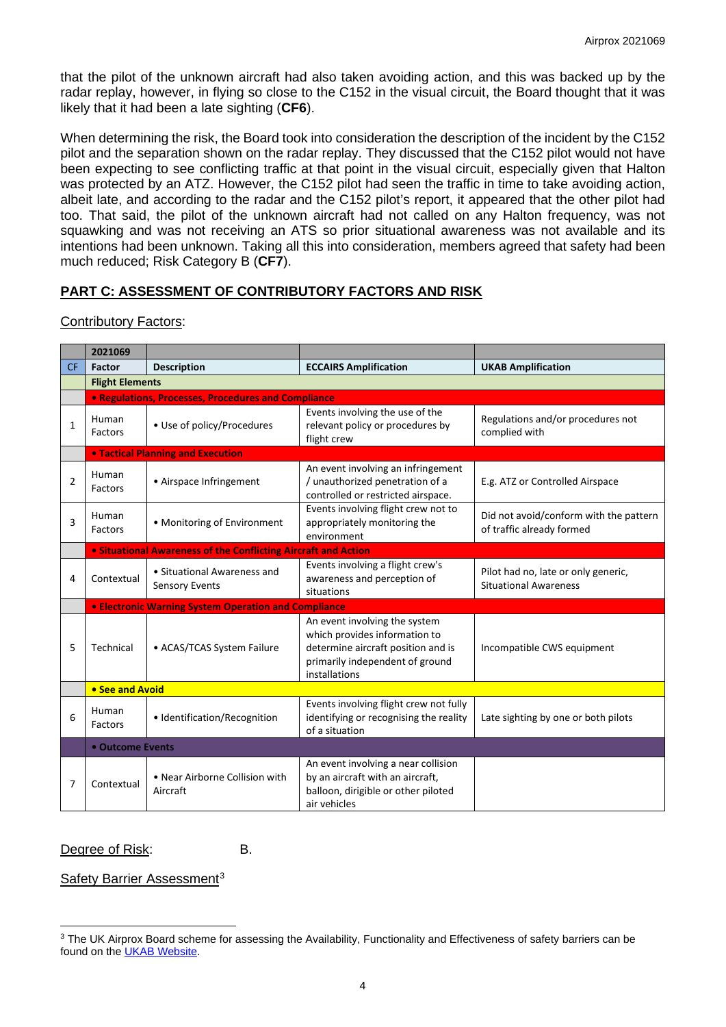that the pilot of the unknown aircraft had also taken avoiding action, and this was backed up by the radar replay, however, in flying so close to the C152 in the visual circuit, the Board thought that it was likely that it had been a late sighting (**CF6**).

When determining the risk, the Board took into consideration the description of the incident by the C152 pilot and the separation shown on the radar replay. They discussed that the C152 pilot would not have been expecting to see conflicting traffic at that point in the visual circuit, especially given that Halton was protected by an ATZ. However, the C152 pilot had seen the traffic in time to take avoiding action, albeit late, and according to the radar and the C152 pilot's report, it appeared that the other pilot had too. That said, the pilot of the unknown aircraft had not called on any Halton frequency, was not squawking and was not receiving an ATS so prior situational awareness was not available and its intentions had been unknown. Taking all this into consideration, members agreed that safety had been much reduced; Risk Category B (**CF7**).

# **PART C: ASSESSMENT OF CONTRIBUTORY FACTORS AND RISK**

Contributory Factors:

|                | 2021069                                          |                                                                |                                                                                                                                                          |                                                                     |  |  |  |  |  |  |  |
|----------------|--------------------------------------------------|----------------------------------------------------------------|----------------------------------------------------------------------------------------------------------------------------------------------------------|---------------------------------------------------------------------|--|--|--|--|--|--|--|
| <b>CF</b>      | Factor                                           | <b>Description</b>                                             | <b>ECCAIRS Amplification</b>                                                                                                                             | <b>UKAB Amplification</b>                                           |  |  |  |  |  |  |  |
|                |                                                  | <b>Flight Elements</b>                                         |                                                                                                                                                          |                                                                     |  |  |  |  |  |  |  |
|                |                                                  | • Regulations, Processes, Procedures and Compliance            |                                                                                                                                                          |                                                                     |  |  |  |  |  |  |  |
| 1              | Human<br>Factors                                 | • Use of policy/Procedures                                     | Events involving the use of the<br>relevant policy or procedures by<br>flight crew                                                                       | Regulations and/or procedures not<br>complied with                  |  |  |  |  |  |  |  |
|                |                                                  | <b>. Tactical Planning and Execution</b>                       |                                                                                                                                                          |                                                                     |  |  |  |  |  |  |  |
| $\overline{2}$ | Human<br>Factors                                 | • Airspace Infringement                                        | An event involving an infringement<br>/ unauthorized penetration of a<br>controlled or restricted airspace.                                              | E.g. ATZ or Controlled Airspace                                     |  |  |  |  |  |  |  |
| 3              | Human<br>Factors                                 | • Monitoring of Environment                                    | Events involving flight crew not to<br>appropriately monitoring the<br>environment                                                                       | Did not avoid/conform with the pattern<br>of traffic already formed |  |  |  |  |  |  |  |
|                |                                                  | . Situational Awareness of the Conflicting Aircraft and Action |                                                                                                                                                          |                                                                     |  |  |  |  |  |  |  |
| 4              | Contextual                                       | • Situational Awareness and<br><b>Sensory Events</b>           | Events involving a flight crew's<br>awareness and perception of<br>situations                                                                            | Pilot had no, late or only generic,<br><b>Situational Awareness</b> |  |  |  |  |  |  |  |
|                |                                                  | <b>• Electronic Warning System Operation and Compliance</b>    |                                                                                                                                                          |                                                                     |  |  |  |  |  |  |  |
| 5              | Technical<br>• ACAS/TCAS System Failure          |                                                                | An event involving the system<br>which provides information to<br>determine aircraft position and is<br>primarily independent of ground<br>installations | Incompatible CWS equipment                                          |  |  |  |  |  |  |  |
|                | • See and Avoid                                  |                                                                |                                                                                                                                                          |                                                                     |  |  |  |  |  |  |  |
| 6              | Human<br>• Identification/Recognition<br>Factors |                                                                | Events involving flight crew not fully<br>identifying or recognising the reality<br>of a situation                                                       | Late sighting by one or both pilots                                 |  |  |  |  |  |  |  |
|                | • Outcome Events                                 |                                                                |                                                                                                                                                          |                                                                     |  |  |  |  |  |  |  |
| 7              | Contextual                                       | • Near Airborne Collision with<br>Aircraft                     | An event involving a near collision<br>by an aircraft with an aircraft,<br>balloon, dirigible or other piloted<br>air vehicles                           |                                                                     |  |  |  |  |  |  |  |

Degree of Risk: B.

Safety Barrier Assessment<sup>[3](#page-3-0)</sup>

<span id="page-3-0"></span><sup>&</sup>lt;sup>3</sup> The UK Airprox Board scheme for assessing the Availability, Functionality and Effectiveness of safety barriers can be found on the [UKAB Website.](http://www.airproxboard.org.uk/Learn-more/Airprox-Barrier-Assessment/)